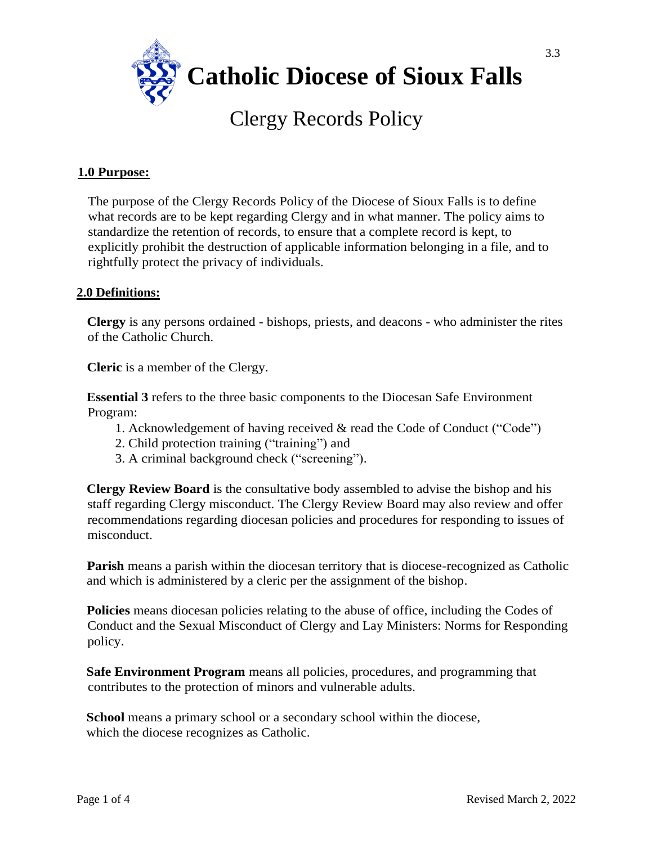

# Clergy Records Policy

## **1.0 Purpose:**

The purpose of the Clergy Records Policy of the Diocese of Sioux Falls is to define what records are to be kept regarding Clergy and in what manner. The policy aims to standardize the retention of records, to ensure that a complete record is kept, to explicitly prohibit the destruction of applicable information belonging in a file, and to rightfully protect the privacy of individuals.

## **2.0 Definitions:**

**Clergy** is any persons ordained - bishops, priests, and deacons - who administer the rites of the Catholic Church.

**Cleric** is a member of the Clergy.

**Essential 3** refers to the three basic components to the Diocesan Safe Environment Program:

- 1. Acknowledgement of having received & read the Code of Conduct ("Code")
- 2. Child protection training ("training") and
- 3. A criminal background check ("screening").

**Clergy Review Board** is the consultative body assembled to advise the bishop and his staff regarding Clergy misconduct. The Clergy Review Board may also review and offer recommendations regarding diocesan policies and procedures for responding to issues of misconduct.

**Parish** means a parish within the diocesan territory that is diocese-recognized as Catholic and which is administered by a cleric per the assignment of the bishop.

**Policies** means diocesan policies relating to the abuse of office, including the Codes of Conduct and the Sexual Misconduct of Clergy and Lay Ministers: Norms for Responding policy.

**Safe Environment Program** means all policies, procedures, and programming that contributes to the protection of minors and vulnerable adults.

**School** means a primary school or a secondary school within the diocese, which the diocese recognizes as Catholic.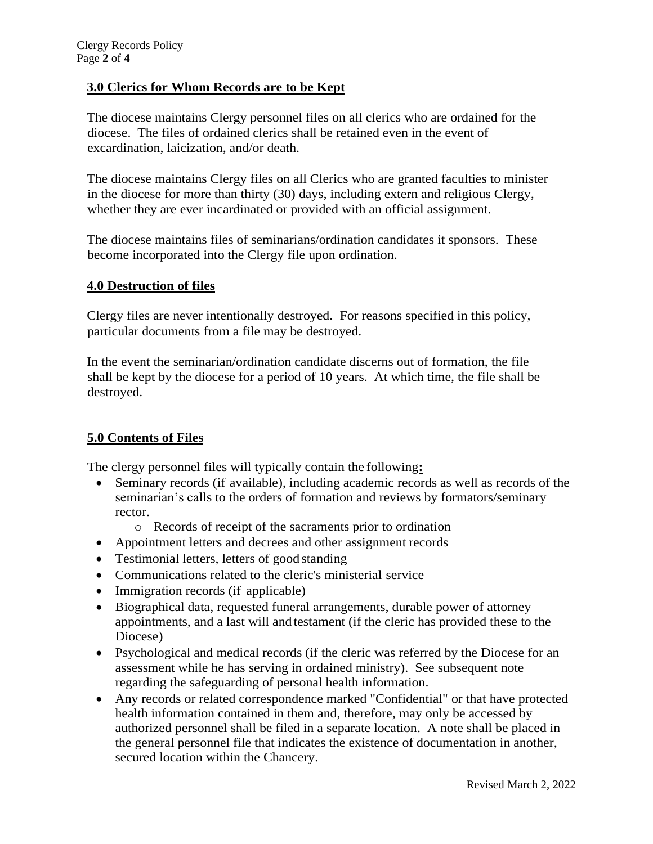# **3.0 Clerics for Whom Records are to be Kept**

The diocese maintains Clergy personnel files on all clerics who are ordained for the diocese. The files of ordained clerics shall be retained even in the event of excardination, laicization, and/or death.

The diocese maintains Clergy files on all Clerics who are granted faculties to minister in the diocese for more than thirty (30) days, including extern and religious Clergy, whether they are ever incardinated or provided with an official assignment.

The diocese maintains files of seminarians/ordination candidates it sponsors. These become incorporated into the Clergy file upon ordination.

#### **4.0 Destruction of files**

Clergy files are never intentionally destroyed. For reasons specified in this policy, particular documents from a file may be destroyed.

In the event the seminarian/ordination candidate discerns out of formation, the file shall be kept by the diocese for a period of 10 years. At which time, the file shall be destroyed.

## **5.0 Contents of Files**

The clergy personnel files will typically contain the following**:**

- Seminary records (if available), including academic records as well as records of the seminarian's calls to the orders of formation and reviews by formators/seminary rector.
	- o Records of receipt of the sacraments prior to ordination
- Appointment letters and decrees and other assignment records
- Testimonial letters, letters of good standing
- Communications related to the cleric's ministerial service
- Immigration records (if applicable)
- Biographical data, requested funeral arrangements, durable power of attorney appointments, and a last will and testament (if the cleric has provided these to the Diocese)
- Psychological and medical records (if the cleric was referred by the Diocese for an assessment while he has serving in ordained ministry). See subsequent note regarding the safeguarding of personal health information.
- Any records or related correspondence marked "Confidential" or that have protected health information contained in them and, therefore, may only be accessed by authorized personnel shall be filed in a separate location. A note shall be placed in the general personnel file that indicates the existence of documentation in another, secured location within the Chancery.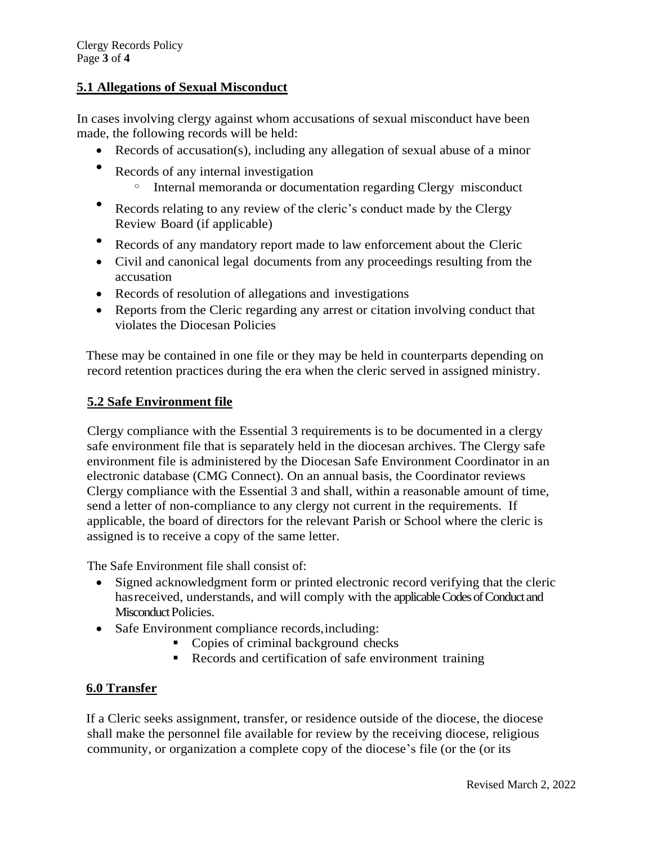# **5.1 Allegations of Sexual Misconduct**

In cases involving clergy against whom accusations of sexual misconduct have been made, the following records will be held:

- Records of accusation(s), including any allegation of sexual abuse of a minor
- Records of any internal investigation
	- <sup>o</sup> Internal memoranda or documentation regarding Clergy misconduct
- Records relating to any review of the cleric's conduct made by the Clergy Review Board (if applicable)
- Records of any mandatory report made to law enforcement about the Cleric
- Civil and canonical legal documents from any proceedings resulting from the accusation
- Records of resolution of allegations and investigations
- Reports from the Cleric regarding any arrest or citation involving conduct that violates the Diocesan Policies

These may be contained in one file or they may be held in counterparts depending on record retention practices during the era when the cleric served in assigned ministry.

# **5.2 Safe Environment file**

Clergy compliance with the Essential 3 requirements is to be documented in a clergy safe environment file that is separately held in the diocesan archives. The Clergy safe environment file is administered by the Diocesan Safe Environment Coordinator in an electronic database (CMG Connect). On an annual basis, the Coordinator reviews Clergy compliance with the Essential 3 and shall, within a reasonable amount of time, send a letter of non-compliance to any clergy not current in the requirements. If applicable, the board of directors for the relevant Parish or School where the cleric is assigned is to receive a copy of the same letter.

The Safe Environment file shall consist of:

- Signed acknowledgment form or printed electronic record verifying that the cleric hasreceived, understands, and will comply with the applicable Codes of Conduct and Misconduct Policies.
- Safe Environment compliance records, including:
	- Copies of criminal background checks
	- Records and certification of safe environment training

## **6.0 Transfer**

If a Cleric seeks assignment, transfer, or residence outside of the diocese, the diocese shall make the personnel file available for review by the receiving diocese, religious community, or organization a complete copy of the diocese's file (or the (or its